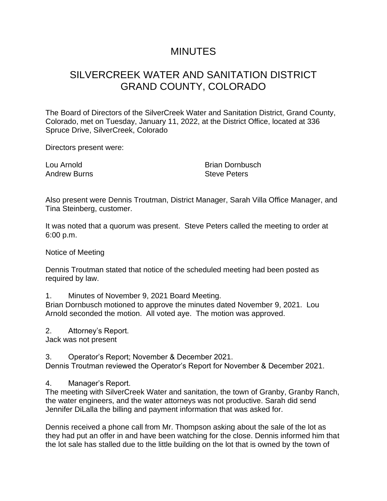## MINUTES

## SILVERCREEK WATER AND SANITATION DISTRICT GRAND COUNTY, COLORADO

The Board of Directors of the SilverCreek Water and Sanitation District, Grand County, Colorado, met on Tuesday, January 11, 2022, at the District Office, located at 336 Spruce Drive, SilverCreek, Colorado

Directors present were:

Lou Arnold Andrew Burns

Brian Dornbusch Steve Peters

Also present were Dennis Troutman, District Manager, Sarah Villa Office Manager, and Tina Steinberg, customer.

It was noted that a quorum was present. Steve Peters called the meeting to order at 6:00 p.m.

Notice of Meeting

Dennis Troutman stated that notice of the scheduled meeting had been posted as required by law.

1. Minutes of November 9, 2021 Board Meeting.

Brian Dornbusch motioned to approve the minutes dated November 9, 2021. Lou Arnold seconded the motion. All voted aye. The motion was approved.

2. Attorney's Report. Jack was not present

3. Operator's Report; November & December 2021. Dennis Troutman reviewed the Operator's Report for November & December 2021.

4. Manager's Report.

The meeting with SilverCreek Water and sanitation, the town of Granby, Granby Ranch, the water engineers, and the water attorneys was not productive. Sarah did send Jennifer DiLalla the billing and payment information that was asked for.

Dennis received a phone call from Mr. Thompson asking about the sale of the lot as they had put an offer in and have been watching for the close. Dennis informed him that the lot sale has stalled due to the little building on the lot that is owned by the town of